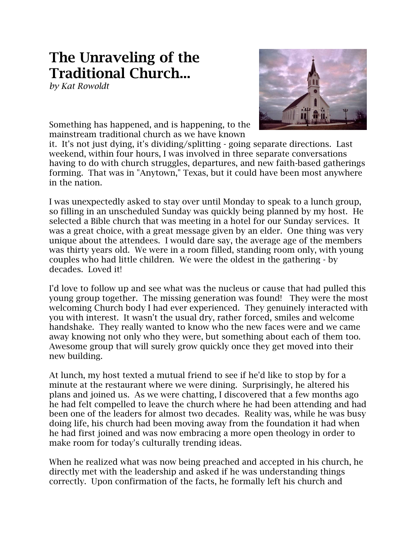## **The Unraveling of the Traditional Church...**

*by Kat Rowoldt*



Something has happened, and is happening, to the mainstream traditional church as we have known

it. It's not just dying, it's dividing/splitting - going separate directions. Last weekend, within four hours, I was involved in three separate conversations having to do with church struggles, departures, and new faith-based gatherings forming. That was in "Anytown," Texas, but it could have been most anywhere in the nation.

I was unexpectedly asked to stay over until Monday to speak to a lunch group, so filling in an unscheduled Sunday was quickly being planned by my host. He selected a Bible church that was meeting in a hotel for our Sunday services. It was a great choice, with a great message given by an elder. One thing was very unique about the attendees. I would dare say, the average age of the members was thirty years old. We were in a room filled, standing room only, with young couples who had little children. We were the oldest in the gathering - by decades. Loved it!

I'd love to follow up and see what was the nucleus or cause that had pulled this young group together. The missing generation was found! They were the most welcoming Church body I had ever experienced. They genuinely interacted with you with interest. It wasn't the usual dry, rather forced, smiles and welcome handshake. They really wanted to know who the new faces were and we came away knowing not only who they were, but something about each of them too. Awesome group that will surely grow quickly once they get moved into their new building.

At lunch, my host texted a mutual friend to see if he'd like to stop by for a minute at the restaurant where we were dining. Surprisingly, he altered his plans and joined us. As we were chatting, I discovered that a few months ago he had felt compelled to leave the church where he had been attending and had been one of the leaders for almost two decades. Reality was, while he was busy doing life, his church had been moving away from the foundation it had when he had first joined and was now embracing a more open theology in order to make room for today's culturally trending ideas.

When he realized what was now being preached and accepted in his church, he directly met with the leadership and asked if he was understanding things correctly. Upon confirmation of the facts, he formally left his church and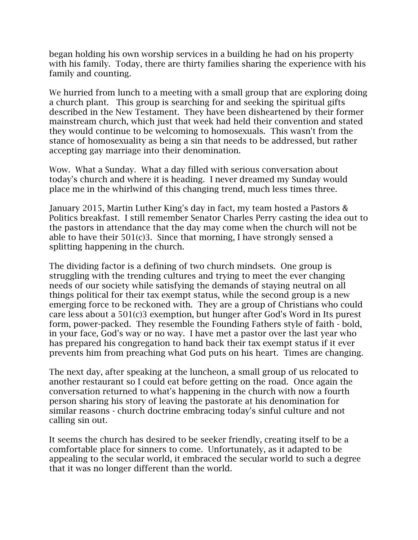began holding his own worship services in a building he had on his property with his family. Today, there are thirty families sharing the experience with his family and counting.

We hurried from lunch to a meeting with a small group that are exploring doing a church plant. This group is searching for and seeking the spiritual gifts described in the New Testament. They have been disheartened by their former mainstream church, which just that week had held their convention and stated they would continue to be welcoming to homosexuals. This wasn't from the stance of homosexuality as being a sin that needs to be addressed, but rather accepting gay marriage into their denomination.

Wow. What a Sunday. What a day filled with serious conversation about today's church and where it is heading. I never dreamed my Sunday would place me in the whirlwind of this changing trend, much less times three.

January 2015, Martin Luther King's day in fact, my team hosted a Pastors & Politics breakfast. I still remember Senator Charles Perry casting the idea out to the pastors in attendance that the day may come when the church will not be able to have their 501(c)3. Since that morning, I have strongly sensed a splitting happening in the church.

The dividing factor is a defining of two church mindsets. One group is struggling with the trending cultures and trying to meet the ever changing needs of our society while satisfying the demands of staying neutral on all things political for their tax exempt status, while the second group is a new emerging force to be reckoned with. They are a group of Christians who could care less about a 501(c)3 exemption, but hunger after God's Word in Its purest form, power-packed. They resemble the Founding Fathers style of faith - bold, in your face, God's way or no way. I have met a pastor over the last year who has prepared his congregation to hand back their tax exempt status if it ever prevents him from preaching what God puts on his heart. Times are changing.

The next day, after speaking at the luncheon, a small group of us relocated to another restaurant so I could eat before getting on the road. Once again the conversation returned to what's happening in the church with now a fourth person sharing his story of leaving the pastorate at his denomination for similar reasons - church doctrine embracing today's sinful culture and not calling sin out.

It seems the church has desired to be seeker friendly, creating itself to be a comfortable place for sinners to come. Unfortunately, as it adapted to be appealing to the secular world, it embraced the secular world to such a degree that it was no longer different than the world.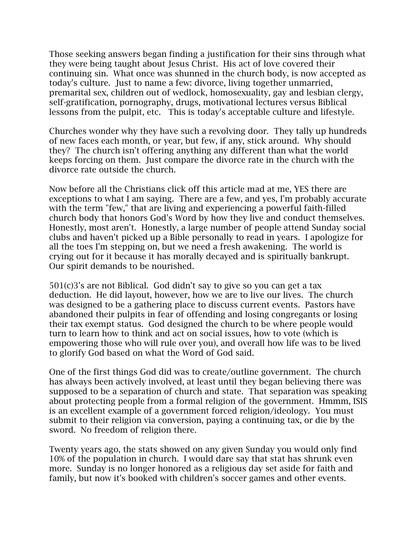Those seeking answers began finding a justification for their sins through what they were being taught about Jesus Christ. His act of love covered their continuing sin. What once was shunned in the church body, is now accepted as today's culture. Just to name a few: divorce, living together unmarried, premarital sex, children out of wedlock, homosexuality, gay and lesbian clergy, self-gratification, pornography, drugs, motivational lectures versus Biblical lessons from the pulpit, etc. This is today's acceptable culture and lifestyle.

Churches wonder why they have such a revolving door. They tally up hundreds of new faces each month, or year, but few, if any, stick around. Why should they? The church isn't offering anything any different than what the world keeps forcing on them. Just compare the divorce rate in the church with the divorce rate outside the church.

Now before all the Christians click off this article mad at me, YES there are exceptions to what I am saying. There are a few, and yes, I'm probably accurate with the term "few," that are living and experiencing a powerful faith-filled church body that honors God's Word by how they live and conduct themselves. Honestly, most aren't. Honestly, a large number of people attend Sunday social clubs and haven't picked up a Bible personally to read in years. I apologize for all the toes I'm stepping on, but we need a fresh awakening. The world is crying out for it because it has morally decayed and is spiritually bankrupt. Our spirit demands to be nourished.

501(c)3's are not Biblical. God didn't say to give so you can get a tax deduction. He did layout, however, how we are to live our lives. The church was designed to be a gathering place to discuss current events. Pastors have abandoned their pulpits in fear of offending and losing congregants or losing their tax exempt status. God designed the church to be where people would turn to learn how to think and act on social issues, how to vote (which is empowering those who will rule over you), and overall how life was to be lived to glorify God based on what the Word of God said.

One of the first things God did was to create/outline government. The church has always been actively involved, at least until they began believing there was supposed to be a separation of church and state. That separation was speaking about protecting people from a formal religion of the government. Hmmm, ISIS is an excellent example of a government forced religion/ideology. You must submit to their religion via conversion, paying a continuing tax, or die by the sword. No freedom of religion there.

Twenty years ago, the stats showed on any given Sunday you would only find 10% of the population in church. I would dare say that stat has shrunk even more. Sunday is no longer honored as a religious day set aside for faith and family, but now it's booked with children's soccer games and other events.